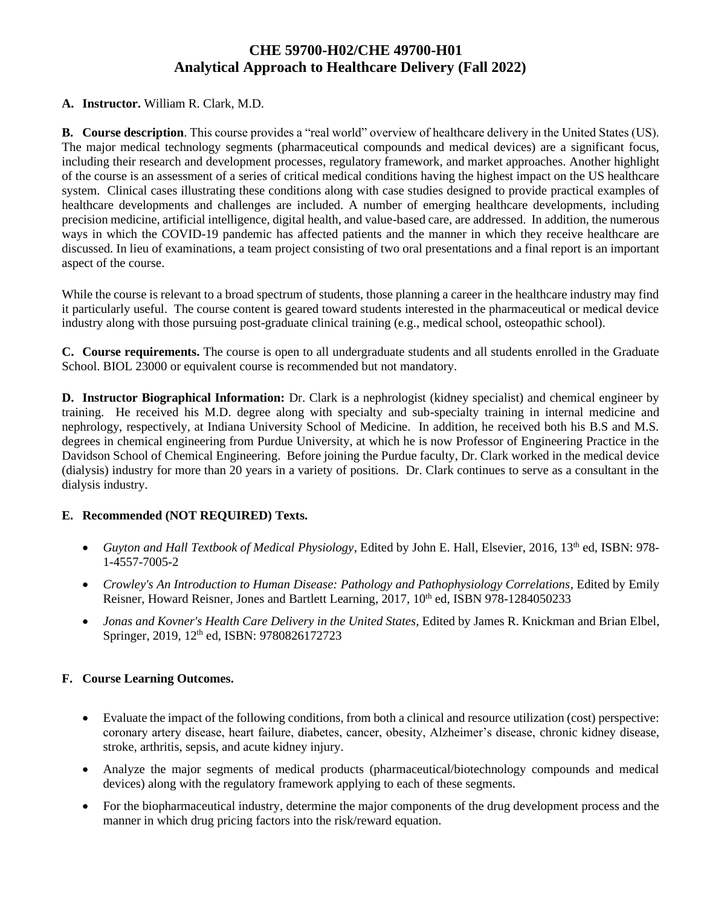# **CHE 59700-H02/CHE 49700-H01 Analytical Approach to Healthcare Delivery (Fall 2022)**

## **A. Instructor.** William R. Clark, M.D.

**B. Course description**. This course provides a "real world" overview of healthcare delivery in the United States (US). The major medical technology segments (pharmaceutical compounds and medical devices) are a significant focus, including their research and development processes, regulatory framework, and market approaches. Another highlight of the course is an assessment of a series of critical medical conditions having the highest impact on the US healthcare system. Clinical cases illustrating these conditions along with case studies designed to provide practical examples of healthcare developments and challenges are included. A number of emerging healthcare developments, including precision medicine, artificial intelligence, digital health, and value-based care, are addressed. In addition, the numerous ways in which the COVID-19 pandemic has affected patients and the manner in which they receive healthcare are discussed. In lieu of examinations, a team project consisting of two oral presentations and a final report is an important aspect of the course.

While the course is relevant to a broad spectrum of students, those planning a career in the healthcare industry may find it particularly useful. The course content is geared toward students interested in the pharmaceutical or medical device industry along with those pursuing post-graduate clinical training (e.g., medical school, osteopathic school).

**C. Course requirements.** The course is open to all undergraduate students and all students enrolled in the Graduate School. BIOL 23000 or equivalent course is recommended but not mandatory.

**D. Instructor Biographical Information:** Dr. Clark is a nephrologist (kidney specialist) and chemical engineer by training. He received his M.D. degree along with specialty and sub-specialty training in internal medicine and nephrology, respectively, at Indiana University School of Medicine. In addition, he received both his B.S and M.S. degrees in chemical engineering from Purdue University, at which he is now Professor of Engineering Practice in the Davidson School of Chemical Engineering. Before joining the Purdue faculty, Dr. Clark worked in the medical device (dialysis) industry for more than 20 years in a variety of positions. Dr. Clark continues to serve as a consultant in the dialysis industry.

## **E. Recommended (NOT REQUIRED) Texts.**

- *Guyton and Hall Textbook of Medical Physiology*, Edited by John E. Hall, Elsevier, 2016, 13th ed, ISBN: 978- 1-4557-7005-2
- *Crowley's An Introduction to Human Disease: Pathology and Pathophysiology Correlations*, Edited by Emily Reisner, Howard Reisner, Jones and Bartlett Learning, 2017, 10<sup>th</sup> ed, ISBN 978-1284050233
- *Jonas and Kovner's Health Care Delivery in the United States,* Edited by James R. Knickman and Brian Elbel, Springer, 2019, 12<sup>th</sup> ed, ISBN: 9780826172723

## **F. Course Learning Outcomes.**

- Evaluate the impact of the following conditions, from both a clinical and resource utilization (cost) perspective: coronary artery disease, heart failure, diabetes, cancer, obesity, Alzheimer's disease, chronic kidney disease, stroke, arthritis, sepsis, and acute kidney injury.
- Analyze the major segments of medical products (pharmaceutical/biotechnology compounds and medical devices) along with the regulatory framework applying to each of these segments.
- For the biopharmaceutical industry, determine the major components of the drug development process and the manner in which drug pricing factors into the risk/reward equation.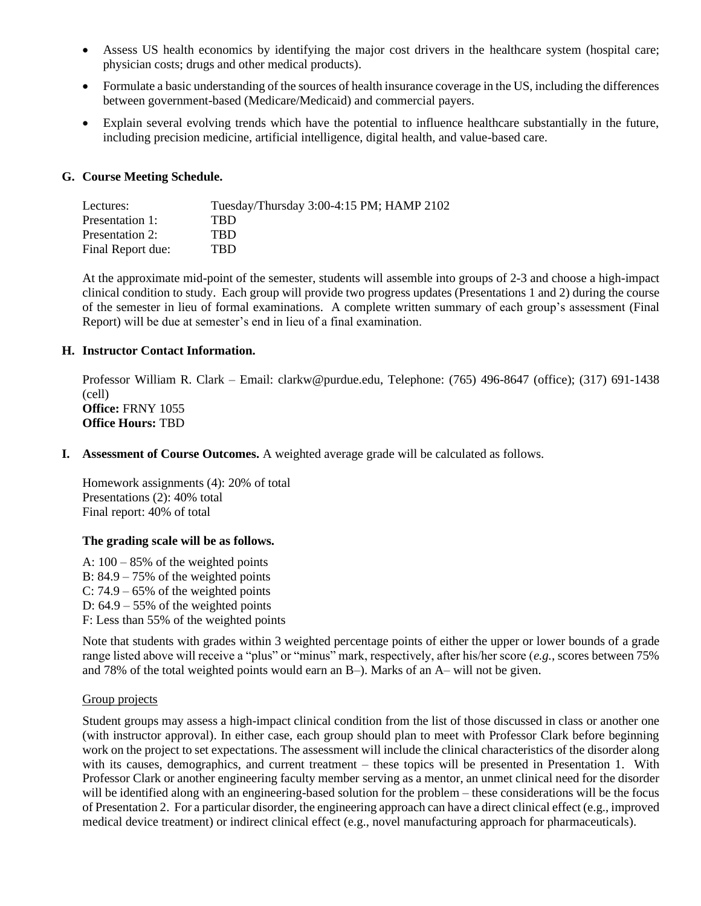- Assess US health economics by identifying the major cost drivers in the healthcare system (hospital care; physician costs; drugs and other medical products).
- Formulate a basic understanding of the sources of health insurance coverage in the US, including the differences between government-based (Medicare/Medicaid) and commercial payers.
- Explain several evolving trends which have the potential to influence healthcare substantially in the future, including precision medicine, artificial intelligence, digital health, and value-based care.

### **G. Course Meeting Schedule.**

| Lectures:         | Tuesday/Thursday 3:00-4:15 PM; HAMP 2102 |  |
|-------------------|------------------------------------------|--|
| Presentation 1:   | TRD.                                     |  |
| Presentation 2:   | TRD                                      |  |
| Final Report due: | TBD                                      |  |

At the approximate mid-point of the semester, students will assemble into groups of 2-3 and choose a high-impact clinical condition to study. Each group will provide two progress updates (Presentations 1 and 2) during the course of the semester in lieu of formal examinations. A complete written summary of each group's assessment (Final Report) will be due at semester's end in lieu of a final examination.

#### **H. Instructor Contact Information.**

Professor William R. Clark – Email: clarkw@purdue.edu, Telephone: (765) 496-8647 (office); (317) 691-1438 (cell) **Office:** FRNY 1055 **Office Hours:** TBD

**I. Assessment of Course Outcomes.** A weighted average grade will be calculated as follows.

Homework assignments (4): 20% of total Presentations (2): 40% total Final report: 40% of total

### **The grading scale will be as follows.**

A:  $100 - 85\%$  of the weighted points B:  $84.9 - 75\%$  of the weighted points C:  $74.9 - 65\%$  of the weighted points D:  $64.9 - 55\%$  of the weighted points F: Less than 55% of the weighted points

Note that students with grades within 3 weighted percentage points of either the upper or lower bounds of a grade range listed above will receive a "plus" or "minus" mark, respectively, after his/her score (*e.g.*, scores between 75% and 78% of the total weighted points would earn an B–). Marks of an A– will not be given.

#### Group projects

Student groups may assess a high-impact clinical condition from the list of those discussed in class or another one (with instructor approval). In either case, each group should plan to meet with Professor Clark before beginning work on the project to set expectations. The assessment will include the clinical characteristics of the disorder along with its causes, demographics, and current treatment – these topics will be presented in Presentation 1. With Professor Clark or another engineering faculty member serving as a mentor, an unmet clinical need for the disorder will be identified along with an engineering-based solution for the problem – these considerations will be the focus of Presentation 2. For a particular disorder, the engineering approach can have a direct clinical effect (e.g., improved medical device treatment) or indirect clinical effect (e.g., novel manufacturing approach for pharmaceuticals).